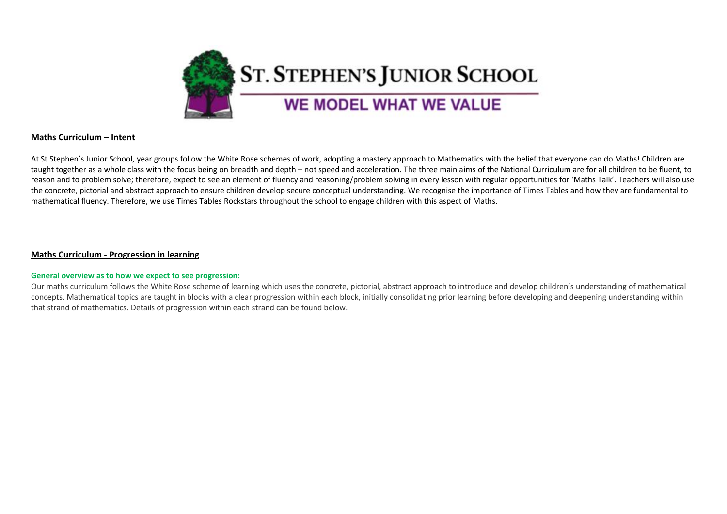

## **Maths Curriculum – Intent**

At St Stephen's Junior School, year groups follow the White Rose schemes of work, adopting a mastery approach to Mathematics with the belief that everyone can do Maths! Children are taught together as a whole class with the focus being on breadth and depth – not speed and acceleration. The three main aims of the National Curriculum are for all children to be fluent, to reason and to problem solve; therefore, expect to see an element of fluency and reasoning/problem solving in every lesson with regular opportunities for 'Maths Talk'. Teachers will also use the concrete, pictorial and abstract approach to ensure children develop secure conceptual understanding. We recognise the importance of Times Tables and how they are fundamental to mathematical fluency. Therefore, we use Times Tables Rockstars throughout the school to engage children with this aspect of Maths.

## **Maths Curriculum - Progression in learning**

## **General overview as to how we expect to see progression:**

Our maths curriculum follows the White Rose scheme of learning which uses the concrete, pictorial, abstract approach to introduce and develop children's understanding of mathematical concepts. Mathematical topics are taught in blocks with a clear progression within each block, initially consolidating prior learning before developing and deepening understanding within that strand of mathematics. Details of progression within each strand can be found below.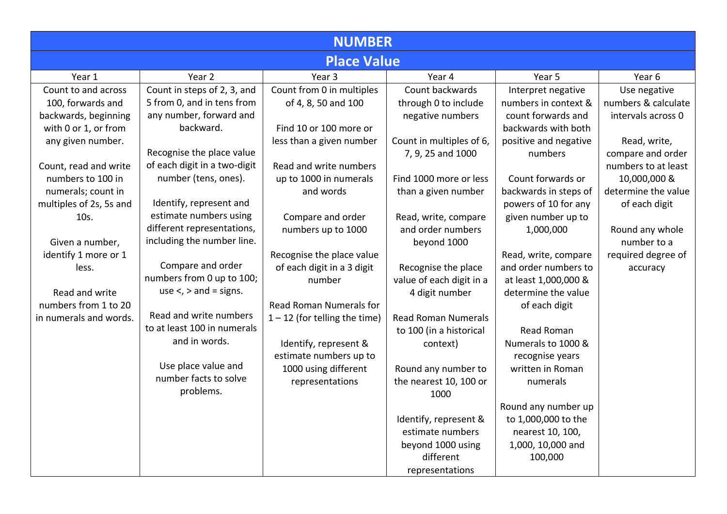|                         | <b>NUMBER</b>                |                                 |                            |                       |                     |  |
|-------------------------|------------------------------|---------------------------------|----------------------------|-----------------------|---------------------|--|
|                         |                              | <b>Place Value</b>              |                            |                       |                     |  |
| Year 1                  | Year 2                       | Year 3                          | Year 4                     | Year 5                | Year 6              |  |
| Count to and across     | Count in steps of 2, 3, and  | Count from 0 in multiples       | Count backwards            | Interpret negative    | Use negative        |  |
| 100, forwards and       | 5 from 0, and in tens from   | of 4, 8, 50 and 100             | through 0 to include       | numbers in context &  | numbers & calculate |  |
| backwards, beginning    | any number, forward and      |                                 | negative numbers           | count forwards and    | intervals across 0  |  |
| with 0 or 1, or from    | backward.                    | Find 10 or 100 more or          |                            | backwards with both   |                     |  |
| any given number.       |                              | less than a given number        | Count in multiples of 6,   | positive and negative | Read, write,        |  |
|                         | Recognise the place value    |                                 | 7, 9, 25 and 1000          | numbers               | compare and order   |  |
| Count, read and write   | of each digit in a two-digit | Read and write numbers          |                            |                       | numbers to at least |  |
| numbers to 100 in       | number (tens, ones).         | up to 1000 in numerals          | Find 1000 more or less     | Count forwards or     | 10,000,000 &        |  |
| numerals; count in      |                              | and words                       | than a given number        | backwards in steps of | determine the value |  |
| multiples of 2s, 5s and | Identify, represent and      |                                 |                            | powers of 10 for any  | of each digit       |  |
| 10s.                    | estimate numbers using       | Compare and order               | Read, write, compare       | given number up to    |                     |  |
|                         | different representations,   | numbers up to 1000              | and order numbers          | 1,000,000             | Round any whole     |  |
| Given a number,         | including the number line.   |                                 | beyond 1000                |                       | number to a         |  |
| identify 1 more or 1    |                              | Recognise the place value       |                            | Read, write, compare  | required degree of  |  |
| less.                   | Compare and order            | of each digit in a 3 digit      | Recognise the place        | and order numbers to  | accuracy            |  |
|                         | numbers from 0 up to 100;    | number                          | value of each digit in a   | at least 1,000,000 &  |                     |  |
| Read and write          | use $\lt$ , $>$ and = signs. |                                 | 4 digit number             | determine the value   |                     |  |
| numbers from 1 to 20    | Read and write numbers       | <b>Read Roman Numerals for</b>  |                            | of each digit         |                     |  |
| in numerals and words.  | to at least 100 in numerals  | $1 - 12$ (for telling the time) | <b>Read Roman Numerals</b> |                       |                     |  |
|                         | and in words.                |                                 | to 100 (in a historical    | <b>Read Roman</b>     |                     |  |
|                         |                              | Identify, represent &           | context)                   | Numerals to 1000 &    |                     |  |
|                         | Use place value and          | estimate numbers up to          |                            | recognise years       |                     |  |
|                         | number facts to solve        | 1000 using different            | Round any number to        | written in Roman      |                     |  |
|                         | problems.                    | representations                 | the nearest 10, 100 or     | numerals              |                     |  |
|                         |                              |                                 | 1000                       |                       |                     |  |
|                         |                              |                                 |                            | Round any number up   |                     |  |
|                         |                              |                                 | Identify, represent &      | to 1,000,000 to the   |                     |  |
|                         |                              |                                 | estimate numbers           | nearest 10, 100,      |                     |  |
|                         |                              |                                 | beyond 1000 using          | 1,000, 10,000 and     |                     |  |
|                         |                              |                                 | different                  | 100,000               |                     |  |
|                         |                              |                                 | representations            |                       |                     |  |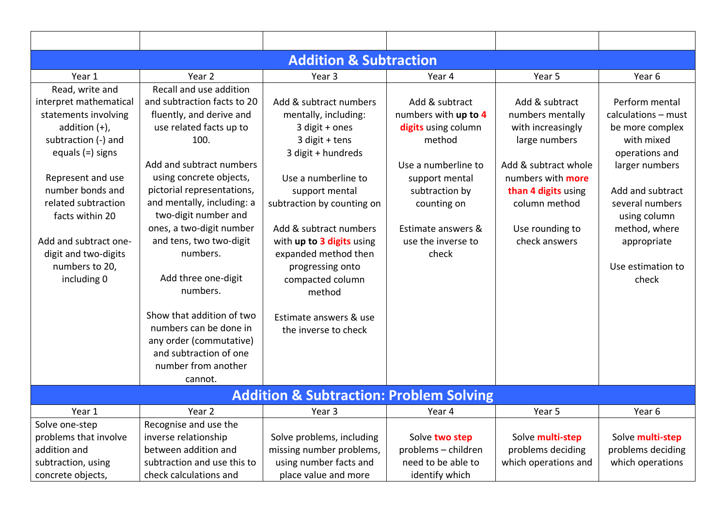| <b>Addition &amp; Subtraction</b> |                             |                                                    |                      |                          |                     |  |  |  |
|-----------------------------------|-----------------------------|----------------------------------------------------|----------------------|--------------------------|---------------------|--|--|--|
| Year 1                            | Year <sub>2</sub>           | Year <sub>3</sub>                                  | Year 4               | Year 5                   | Year 6              |  |  |  |
| Read, write and                   | Recall and use addition     |                                                    |                      |                          |                     |  |  |  |
| interpret mathematical            | and subtraction facts to 20 | Add & subtract numbers                             | Add & subtract       | Add & subtract           | Perform mental      |  |  |  |
| statements involving              | fluently, and derive and    | mentally, including:                               | numbers with up to 4 | numbers mentally         | calculations - must |  |  |  |
| addition $(+)$ ,                  | use related facts up to     | 3 digit + ones                                     | digits using column  | with increasingly        | be more complex     |  |  |  |
| subtraction (-) and               | 100.                        | 3 digit + tens                                     | method               | large numbers            | with mixed          |  |  |  |
| equals $(=)$ signs                |                             | 3 digit + hundreds                                 |                      |                          | operations and      |  |  |  |
|                                   | Add and subtract numbers    |                                                    | Use a numberline to  | Add & subtract whole     | larger numbers      |  |  |  |
| Represent and use                 | using concrete objects,     | Use a numberline to                                | support mental       | numbers with <b>more</b> |                     |  |  |  |
| number bonds and                  | pictorial representations,  | support mental                                     | subtraction by       | than 4 digits using      | Add and subtract    |  |  |  |
| related subtraction               | and mentally, including: a  | subtraction by counting on                         | counting on          | column method            | several numbers     |  |  |  |
| facts within 20                   | two-digit number and        |                                                    |                      |                          | using column        |  |  |  |
|                                   | ones, a two-digit number    | Add & subtract numbers                             | Estimate answers &   | Use rounding to          | method, where       |  |  |  |
| Add and subtract one-             | and tens, two two-digit     | with up to 3 digits using                          | use the inverse to   | check answers            | appropriate         |  |  |  |
| digit and two-digits              | numbers.                    | expanded method then                               | check                |                          |                     |  |  |  |
| numbers to 20,                    |                             | progressing onto                                   |                      |                          | Use estimation to   |  |  |  |
| including 0                       | Add three one-digit         | compacted column                                   |                      |                          | check               |  |  |  |
|                                   | numbers.                    | method                                             |                      |                          |                     |  |  |  |
|                                   | Show that addition of two   | Estimate answers & use                             |                      |                          |                     |  |  |  |
|                                   | numbers can be done in      | the inverse to check                               |                      |                          |                     |  |  |  |
|                                   | any order (commutative)     |                                                    |                      |                          |                     |  |  |  |
|                                   | and subtraction of one      |                                                    |                      |                          |                     |  |  |  |
|                                   | number from another         |                                                    |                      |                          |                     |  |  |  |
|                                   | cannot.                     |                                                    |                      |                          |                     |  |  |  |
|                                   |                             | <b>Addition &amp; Subtraction: Problem Solving</b> |                      |                          |                     |  |  |  |
| Year 1                            | Year <sub>2</sub>           | Year 3                                             | Year 4               | Year 5                   | Year 6              |  |  |  |
| Solve one-step                    | Recognise and use the       |                                                    |                      |                          |                     |  |  |  |
| problems that involve             | inverse relationship        | Solve problems, including                          | Solve two step       | Solve multi-step         | Solve multi-step    |  |  |  |
| addition and                      | between addition and        | missing number problems,                           | problems - children  | problems deciding        | problems deciding   |  |  |  |
| subtraction, using                | subtraction and use this to | using number facts and                             | need to be able to   | which operations and     | which operations    |  |  |  |
| concrete objects,                 | check calculations and      | place value and more                               | identify which       |                          |                     |  |  |  |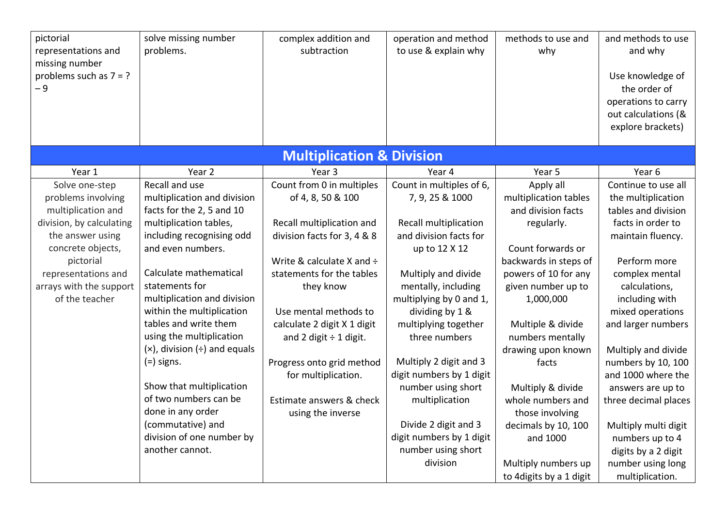| pictorial<br>representations and<br>missing number<br>problems such as $7 = ?$<br>$-9$ | solve missing number<br>problems.    | complex addition and<br>subtraction  | operation and method<br>to use & explain why | methods to use and<br>why | and methods to use<br>and why<br>Use knowledge of<br>the order of<br>operations to carry<br>out calculations (&<br>explore brackets) |
|----------------------------------------------------------------------------------------|--------------------------------------|--------------------------------------|----------------------------------------------|---------------------------|--------------------------------------------------------------------------------------------------------------------------------------|
|                                                                                        |                                      | <b>Multiplication &amp; Division</b> |                                              |                           |                                                                                                                                      |
| Year 1                                                                                 | Year 2                               | Year <sub>3</sub>                    | Year 4                                       | Year 5                    | Year 6                                                                                                                               |
| Solve one-step                                                                         | Recall and use                       | Count from 0 in multiples            | Count in multiples of 6,                     | Apply all                 | Continue to use all                                                                                                                  |
| problems involving                                                                     | multiplication and division          | of 4, 8, 50 & 100                    | 7, 9, 25 & 1000                              | multiplication tables     | the multiplication                                                                                                                   |
| multiplication and                                                                     | facts for the 2, 5 and 10            |                                      |                                              | and division facts        | tables and division                                                                                                                  |
| division, by calculating                                                               | multiplication tables,               | Recall multiplication and            | Recall multiplication                        | regularly.                | facts in order to                                                                                                                    |
| the answer using                                                                       | including recognising odd            | division facts for 3, 4 & 8          | and division facts for                       |                           | maintain fluency.                                                                                                                    |
| concrete objects,                                                                      | and even numbers.                    |                                      | up to 12 X 12                                | Count forwards or         |                                                                                                                                      |
| pictorial                                                                              |                                      | Write & calculate X and $\div$       |                                              | backwards in steps of     | Perform more                                                                                                                         |
| representations and                                                                    | Calculate mathematical               | statements for the tables            | Multiply and divide                          | powers of 10 for any      | complex mental                                                                                                                       |
| arrays with the support                                                                | statements for                       | they know                            | mentally, including                          | given number up to        | calculations,                                                                                                                        |
| of the teacher                                                                         | multiplication and division          |                                      | multiplying by 0 and 1,                      | 1,000,000                 | including with                                                                                                                       |
|                                                                                        | within the multiplication            | Use mental methods to                | dividing by 1 &                              |                           | mixed operations                                                                                                                     |
|                                                                                        | tables and write them                | calculate 2 digit X 1 digit          | multiplying together                         | Multiple & divide         | and larger numbers                                                                                                                   |
|                                                                                        | using the multiplication             | and 2 digit $\div$ 1 digit.          | three numbers                                | numbers mentally          |                                                                                                                                      |
|                                                                                        | $(x)$ , division $(\div)$ and equals |                                      |                                              | drawing upon known        | Multiply and divide                                                                                                                  |
|                                                                                        | $(=)$ signs.                         | Progress onto grid method            | Multiply 2 digit and 3                       | facts                     | numbers by 10, 100                                                                                                                   |
|                                                                                        |                                      | for multiplication.                  | digit numbers by 1 digit                     |                           | and 1000 where the                                                                                                                   |
|                                                                                        | Show that multiplication             |                                      | number using short                           | Multiply & divide         | answers are up to                                                                                                                    |
|                                                                                        | of two numbers can be                | Estimate answers & check             | multiplication                               | whole numbers and         | three decimal places                                                                                                                 |
|                                                                                        | done in any order                    | using the inverse                    |                                              | those involving           |                                                                                                                                      |
|                                                                                        | (commutative) and                    |                                      | Divide 2 digit and 3                         | decimals by 10, 100       | Multiply multi digit                                                                                                                 |
|                                                                                        | division of one number by            |                                      | digit numbers by 1 digit                     | and 1000                  | numbers up to 4                                                                                                                      |
|                                                                                        | another cannot.                      |                                      | number using short                           |                           | digits by a 2 digit                                                                                                                  |
|                                                                                        |                                      |                                      | division                                     | Multiply numbers up       | number using long                                                                                                                    |
|                                                                                        |                                      |                                      |                                              | to 4 digits by a 1 digit  | multiplication.                                                                                                                      |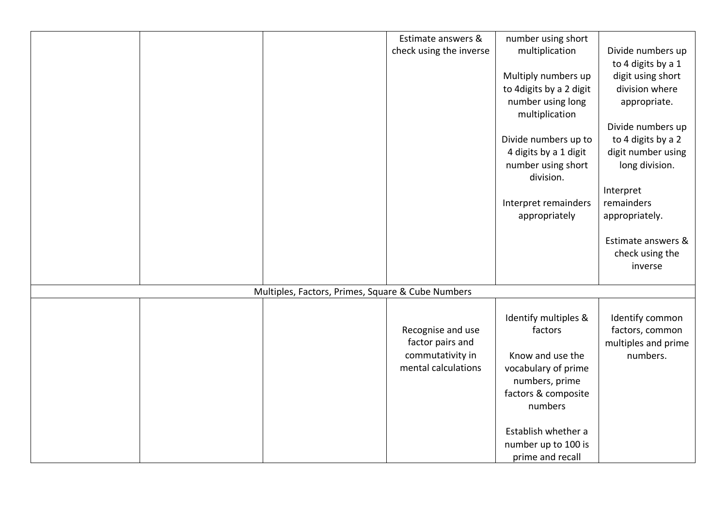|  |                                                   | Estimate answers &      | number using short                  |                     |
|--|---------------------------------------------------|-------------------------|-------------------------------------|---------------------|
|  |                                                   | check using the inverse | multiplication                      | Divide numbers up   |
|  |                                                   |                         |                                     | to 4 digits by a 1  |
|  |                                                   |                         | Multiply numbers up                 | digit using short   |
|  |                                                   |                         | to 4 digits by a 2 digit            | division where      |
|  |                                                   |                         | number using long<br>multiplication | appropriate.        |
|  |                                                   |                         |                                     | Divide numbers up   |
|  |                                                   |                         | Divide numbers up to                | to 4 digits by a 2  |
|  |                                                   |                         | 4 digits by a 1 digit               | digit number using  |
|  |                                                   |                         | number using short<br>division.     | long division.      |
|  |                                                   |                         |                                     | Interpret           |
|  |                                                   |                         | Interpret remainders                | remainders          |
|  |                                                   |                         | appropriately                       | appropriately.      |
|  |                                                   |                         |                                     | Estimate answers &  |
|  |                                                   |                         |                                     | check using the     |
|  |                                                   |                         |                                     | inverse             |
|  |                                                   |                         |                                     |                     |
|  | Multiples, Factors, Primes, Square & Cube Numbers |                         |                                     |                     |
|  |                                                   |                         |                                     |                     |
|  |                                                   |                         | Identify multiples &                | Identify common     |
|  |                                                   | Recognise and use       | factors                             | factors, common     |
|  |                                                   | factor pairs and        |                                     | multiples and prime |
|  |                                                   | commutativity in        | Know and use the                    | numbers.            |
|  |                                                   | mental calculations     | vocabulary of prime                 |                     |
|  |                                                   |                         | numbers, prime                      |                     |
|  |                                                   |                         | factors & composite                 |                     |
|  |                                                   |                         | numbers                             |                     |
|  |                                                   |                         | Establish whether a                 |                     |
|  |                                                   |                         | number up to 100 is                 |                     |
|  |                                                   |                         | prime and recall                    |                     |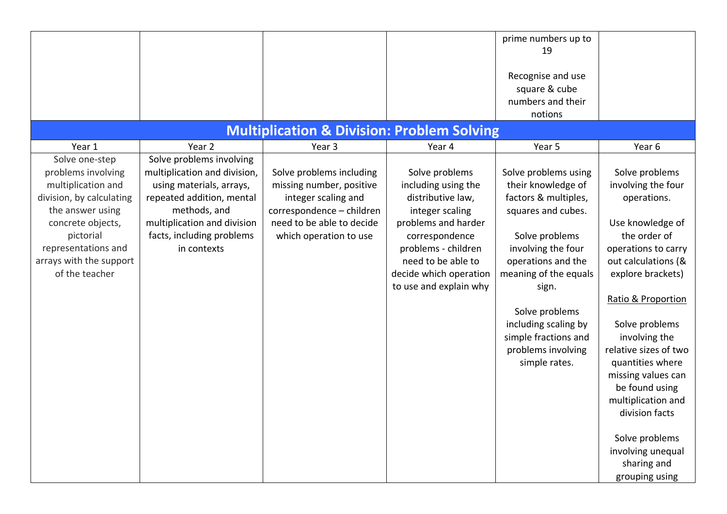|                                                                                                                                                                                                |                                                                                                                                                                                  |                                                                                                                                                                 |                                                                                                                                                                                                                         | prime numbers up to<br>19<br>Recognise and use<br>square & cube<br>numbers and their<br>notions                                                                                                                                                                                                   |                                                                                                                                                                                                                                                                                                                                                                                                                          |
|------------------------------------------------------------------------------------------------------------------------------------------------------------------------------------------------|----------------------------------------------------------------------------------------------------------------------------------------------------------------------------------|-----------------------------------------------------------------------------------------------------------------------------------------------------------------|-------------------------------------------------------------------------------------------------------------------------------------------------------------------------------------------------------------------------|---------------------------------------------------------------------------------------------------------------------------------------------------------------------------------------------------------------------------------------------------------------------------------------------------|--------------------------------------------------------------------------------------------------------------------------------------------------------------------------------------------------------------------------------------------------------------------------------------------------------------------------------------------------------------------------------------------------------------------------|
| Year 1                                                                                                                                                                                         | Year 2                                                                                                                                                                           | <b>Multiplication &amp; Division: Problem Solving</b><br>Year <sub>3</sub>                                                                                      | Year 4                                                                                                                                                                                                                  | Year 5                                                                                                                                                                                                                                                                                            | Year 6                                                                                                                                                                                                                                                                                                                                                                                                                   |
| Solve one-step                                                                                                                                                                                 | Solve problems involving                                                                                                                                                         |                                                                                                                                                                 |                                                                                                                                                                                                                         |                                                                                                                                                                                                                                                                                                   |                                                                                                                                                                                                                                                                                                                                                                                                                          |
| problems involving<br>multiplication and<br>division, by calculating<br>the answer using<br>concrete objects,<br>pictorial<br>representations and<br>arrays with the support<br>of the teacher | multiplication and division,<br>using materials, arrays,<br>repeated addition, mental<br>methods, and<br>multiplication and division<br>facts, including problems<br>in contexts | Solve problems including<br>missing number, positive<br>integer scaling and<br>correspondence - children<br>need to be able to decide<br>which operation to use | Solve problems<br>including using the<br>distributive law,<br>integer scaling<br>problems and harder<br>correspondence<br>problems - children<br>need to be able to<br>decide which operation<br>to use and explain why | Solve problems using<br>their knowledge of<br>factors & multiples,<br>squares and cubes.<br>Solve problems<br>involving the four<br>operations and the<br>meaning of the equals<br>sign.<br>Solve problems<br>including scaling by<br>simple fractions and<br>problems involving<br>simple rates. | Solve problems<br>involving the four<br>operations.<br>Use knowledge of<br>the order of<br>operations to carry<br>out calculations (&<br>explore brackets)<br>Ratio & Proportion<br>Solve problems<br>involving the<br>relative sizes of two<br>quantities where<br>missing values can<br>be found using<br>multiplication and<br>division facts<br>Solve problems<br>involving unequal<br>sharing and<br>grouping using |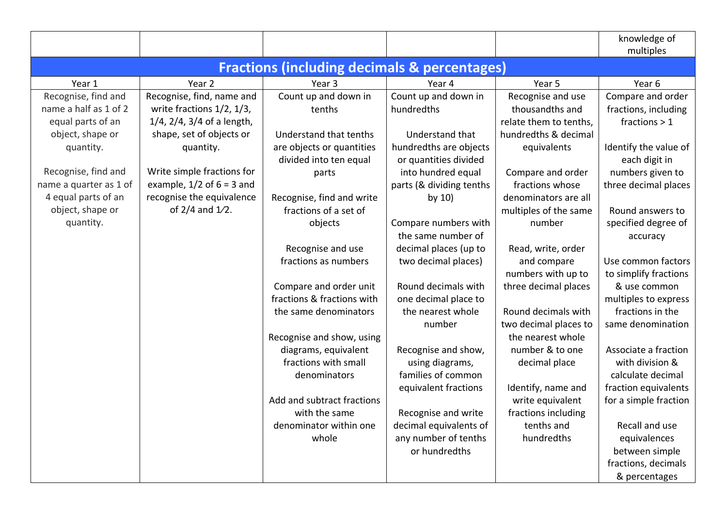|                        |                               |                                                         |                          |                        | knowledge of<br>multiples |
|------------------------|-------------------------------|---------------------------------------------------------|--------------------------|------------------------|---------------------------|
|                        |                               | <b>Fractions (including decimals &amp; percentages)</b> |                          |                        |                           |
| Year 1                 | Year 2                        | Year 3                                                  | Year 4                   | Year 5                 | Year 6                    |
| Recognise, find and    | Recognise, find, name and     | Count up and down in                                    | Count up and down in     | Recognise and use      | Compare and order         |
| name a half as 1 of 2  | write fractions 1/2, 1/3,     | tenths                                                  | hundredths               | thousandths and        | fractions, including      |
| equal parts of an      | 1/4, 2/4, 3/4 of a length,    |                                                         |                          | relate them to tenths, | fractions $> 1$           |
| object, shape or       | shape, set of objects or      | Understand that tenths                                  | Understand that          | hundredths & decimal   |                           |
| quantity.              | quantity.                     | are objects or quantities                               | hundredths are objects   | equivalents            | Identify the value of     |
|                        |                               | divided into ten equal                                  | or quantities divided    |                        | each digit in             |
| Recognise, find and    | Write simple fractions for    | parts                                                   | into hundred equal       | Compare and order      | numbers given to          |
| name a quarter as 1 of | example, $1/2$ of $6 = 3$ and |                                                         | parts (& dividing tenths | fractions whose        | three decimal places      |
| 4 equal parts of an    | recognise the equivalence     | Recognise, find and write                               | by $10)$                 | denominators are all   |                           |
| object, shape or       | of $2/4$ and $1/2$ .          | fractions of a set of                                   |                          | multiples of the same  | Round answers to          |
| quantity.              |                               | objects                                                 | Compare numbers with     | number                 | specified degree of       |
|                        |                               |                                                         | the same number of       |                        | accuracy                  |
|                        |                               | Recognise and use                                       | decimal places (up to    | Read, write, order     |                           |
|                        |                               | fractions as numbers                                    | two decimal places)      | and compare            | Use common factors        |
|                        |                               |                                                         |                          | numbers with up to     | to simplify fractions     |
|                        |                               | Compare and order unit                                  | Round decimals with      | three decimal places   | & use common              |
|                        |                               | fractions & fractions with                              | one decimal place to     |                        | multiples to express      |
|                        |                               | the same denominators                                   | the nearest whole        | Round decimals with    | fractions in the          |
|                        |                               |                                                         | number                   | two decimal places to  | same denomination         |
|                        |                               | Recognise and show, using                               |                          | the nearest whole      |                           |
|                        |                               | diagrams, equivalent                                    | Recognise and show,      | number & to one        | Associate a fraction      |
|                        |                               | fractions with small                                    | using diagrams,          | decimal place          | with division &           |
|                        |                               | denominators                                            | families of common       |                        | calculate decimal         |
|                        |                               |                                                         | equivalent fractions     | Identify, name and     | fraction equivalents      |
|                        |                               | Add and subtract fractions                              |                          | write equivalent       | for a simple fraction     |
|                        |                               | with the same                                           | Recognise and write      | fractions including    |                           |
|                        |                               | denominator within one                                  | decimal equivalents of   | tenths and             | Recall and use            |
|                        |                               | whole                                                   | any number of tenths     | hundredths             | equivalences              |
|                        |                               |                                                         | or hundredths            |                        | between simple            |
|                        |                               |                                                         |                          |                        | fractions, decimals       |
|                        |                               |                                                         |                          |                        | & percentages             |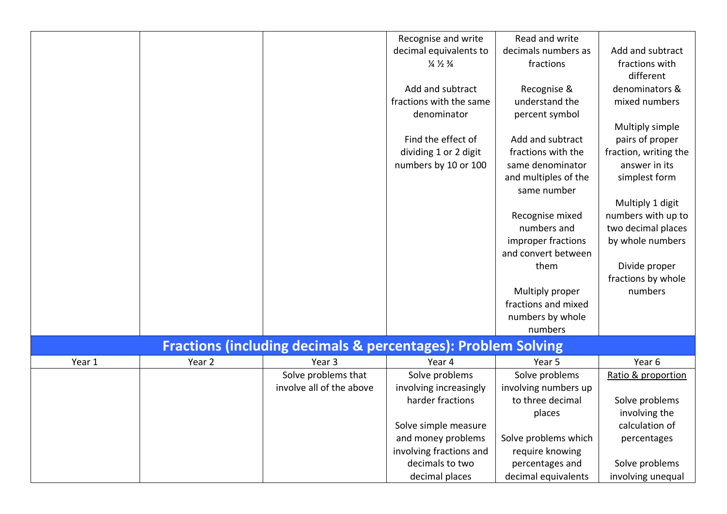|        |        |                                                                          | Recognise and write                   | Read and write       |                       |
|--------|--------|--------------------------------------------------------------------------|---------------------------------------|----------------------|-----------------------|
|        |        |                                                                          | decimal equivalents to                | decimals numbers as  | Add and subtract      |
|        |        |                                                                          | $\frac{1}{4} \frac{1}{2} \frac{3}{4}$ | fractions            | fractions with        |
|        |        |                                                                          |                                       |                      | different             |
|        |        |                                                                          | Add and subtract                      | Recognise &          | denominators &        |
|        |        |                                                                          | fractions with the same               | understand the       | mixed numbers         |
|        |        |                                                                          | denominator                           | percent symbol       |                       |
|        |        |                                                                          |                                       |                      | Multiply simple       |
|        |        |                                                                          | Find the effect of                    | Add and subtract     | pairs of proper       |
|        |        |                                                                          | dividing 1 or 2 digit                 | fractions with the   | fraction, writing the |
|        |        |                                                                          | numbers by 10 or 100                  | same denominator     | answer in its         |
|        |        |                                                                          |                                       | and multiples of the | simplest form         |
|        |        |                                                                          |                                       | same number          |                       |
|        |        |                                                                          |                                       |                      | Multiply 1 digit      |
|        |        |                                                                          |                                       | Recognise mixed      | numbers with up to    |
|        |        |                                                                          |                                       | numbers and          | two decimal places    |
|        |        |                                                                          |                                       | improper fractions   | by whole numbers      |
|        |        |                                                                          |                                       | and convert between  |                       |
|        |        |                                                                          |                                       | them                 | Divide proper         |
|        |        |                                                                          |                                       |                      | fractions by whole    |
|        |        |                                                                          |                                       | Multiply proper      | numbers               |
|        |        |                                                                          |                                       | fractions and mixed  |                       |
|        |        |                                                                          |                                       | numbers by whole     |                       |
|        |        |                                                                          |                                       | numbers              |                       |
|        |        |                                                                          |                                       |                      |                       |
|        |        | <b>Fractions (including decimals &amp; percentages): Problem Solving</b> |                                       |                      |                       |
| Year 1 | Year 2 | Year <sub>3</sub>                                                        | Year 4                                | Year 5               | Year 6                |
|        |        | Solve problems that                                                      | Solve problems                        | Solve problems       | Ratio & proportion    |
|        |        | involve all of the above                                                 | involving increasingly                | involving numbers up |                       |
|        |        |                                                                          | harder fractions                      | to three decimal     | Solve problems        |
|        |        |                                                                          |                                       | places               | involving the         |
|        |        |                                                                          | Solve simple measure                  |                      | calculation of        |
|        |        |                                                                          | and money problems                    | Solve problems which | percentages           |
|        |        |                                                                          | involving fractions and               | require knowing      |                       |
|        |        |                                                                          | decimals to two                       | percentages and      | Solve problems        |
|        |        |                                                                          | decimal places                        | decimal equivalents  | involving unequal     |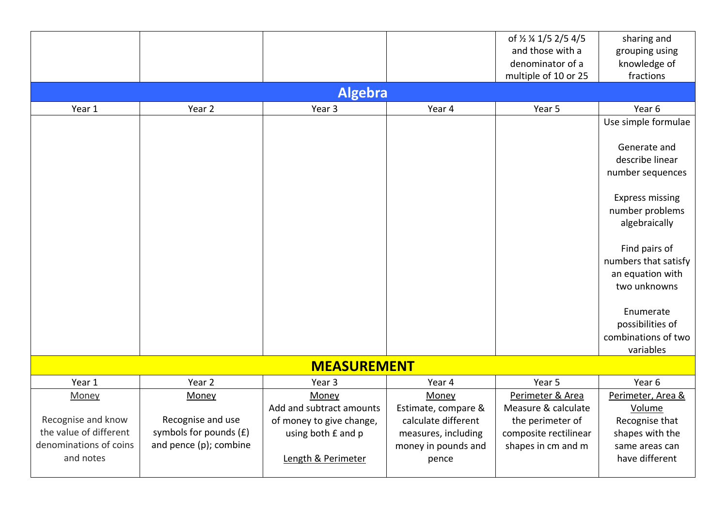|                        |                          |                          |                     | of 1/2 1/4 1/5 2/5 4/5 | sharing and            |
|------------------------|--------------------------|--------------------------|---------------------|------------------------|------------------------|
|                        |                          |                          |                     | and those with a       | grouping using         |
|                        |                          |                          |                     | denominator of a       | knowledge of           |
|                        |                          |                          |                     | multiple of 10 or 25   | fractions              |
|                        |                          | <b>Algebra</b>           |                     |                        |                        |
| Year 1                 | Year 2                   | Year 3                   | Year 4              | Year 5                 | Year 6                 |
|                        |                          |                          |                     |                        | Use simple formulae    |
|                        |                          |                          |                     |                        |                        |
|                        |                          |                          |                     |                        | Generate and           |
|                        |                          |                          |                     |                        | describe linear        |
|                        |                          |                          |                     |                        | number sequences       |
|                        |                          |                          |                     |                        |                        |
|                        |                          |                          |                     |                        | <b>Express missing</b> |
|                        |                          |                          |                     |                        | number problems        |
|                        |                          |                          |                     |                        | algebraically          |
|                        |                          |                          |                     |                        |                        |
|                        |                          |                          |                     |                        | Find pairs of          |
|                        |                          |                          |                     |                        | numbers that satisfy   |
|                        |                          |                          |                     |                        | an equation with       |
|                        |                          |                          |                     |                        | two unknowns           |
|                        |                          |                          |                     |                        |                        |
|                        |                          |                          |                     |                        | Enumerate              |
|                        |                          |                          |                     |                        | possibilities of       |
|                        |                          |                          |                     |                        | combinations of two    |
|                        |                          |                          |                     |                        | variables              |
|                        |                          | <b>MEASUREMENT</b>       |                     |                        |                        |
| Year 1                 | Year 2                   | Year 3                   | Year 4              | Year 5                 | Year 6                 |
| Money                  | Money                    | Money                    | Money               | Perimeter & Area       | Perimeter, Area &      |
|                        |                          | Add and subtract amounts | Estimate, compare & | Measure & calculate    | Volume                 |
| Recognise and know     | Recognise and use        | of money to give change, | calculate different | the perimeter of       | Recognise that         |
| the value of different | symbols for pounds $(E)$ | using both £ and p       | measures, including | composite rectilinear  | shapes with the        |
| denominations of coins | and pence (p); combine   |                          | money in pounds and | shapes in cm and m     | same areas can         |
| and notes              |                          | Length & Perimeter       | pence               |                        | have different         |
|                        |                          |                          |                     |                        |                        |
|                        |                          |                          |                     |                        |                        |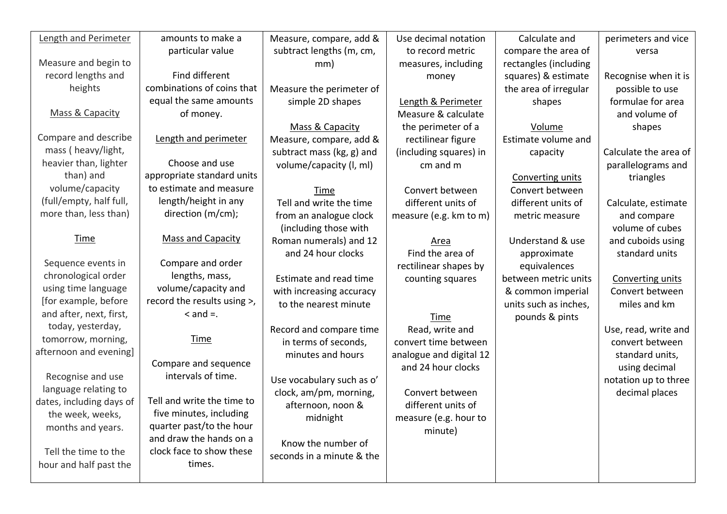| Length and Perimeter     | amounts to make a           | Measure, compare, add &   | Use decimal notation    | Calculate and           | perimeters and vice   |
|--------------------------|-----------------------------|---------------------------|-------------------------|-------------------------|-----------------------|
|                          | particular value            | subtract lengths (m, cm,  | to record metric        | compare the area of     | versa                 |
| Measure and begin to     |                             | mm)                       | measures, including     | rectangles (including   |                       |
| record lengths and       | Find different              |                           | money                   | squares) & estimate     | Recognise when it is  |
| heights                  | combinations of coins that  | Measure the perimeter of  |                         | the area of irregular   | possible to use       |
|                          | equal the same amounts      | simple 2D shapes          | Length & Perimeter      | shapes                  | formulae for area     |
| Mass & Capacity          | of money.                   |                           | Measure & calculate     |                         | and volume of         |
|                          |                             | Mass & Capacity           | the perimeter of a      | Volume                  | shapes                |
| Compare and describe     | Length and perimeter        | Measure, compare, add &   | rectilinear figure      | Estimate volume and     |                       |
| mass (heavy/light,       |                             | subtract mass (kg, g) and | (including squares) in  | capacity                | Calculate the area of |
| heavier than, lighter    | Choose and use              | volume/capacity (I, ml)   | cm and m                |                         | parallelograms and    |
| than) and                | appropriate standard units  |                           |                         | <b>Converting units</b> | triangles             |
| volume/capacity          | to estimate and measure     | <b>Time</b>               | Convert between         | Convert between         |                       |
| (full/empty, half full,  | length/height in any        | Tell and write the time   | different units of      | different units of      | Calculate, estimate   |
| more than, less than)    | direction (m/cm);           | from an analogue clock    | measure (e.g. km to m)  | metric measure          | and compare           |
|                          |                             | (including those with     |                         |                         | volume of cubes       |
| <u>Time</u>              | <b>Mass and Capacity</b>    | Roman numerals) and 12    | <b>Area</b>             | Understand & use        | and cuboids using     |
|                          |                             | and 24 hour clocks        | Find the area of        | approximate             | standard units        |
| Sequence events in       | Compare and order           |                           | rectilinear shapes by   | equivalences            |                       |
| chronological order      | lengths, mass,              | Estimate and read time    | counting squares        | between metric units    | Converting units      |
| using time language      | volume/capacity and         | with increasing accuracy  |                         | & common imperial       | Convert between       |
| [for example, before     | record the results using >, | to the nearest minute     |                         | units such as inches,   | miles and km          |
| and after, next, first,  | $<$ and $=$ .               |                           | <b>Time</b>             | pounds & pints          |                       |
| today, yesterday,        |                             | Record and compare time   | Read, write and         |                         | Use, read, write and  |
| tomorrow, morning,       | <b>Time</b>                 | in terms of seconds,      | convert time between    |                         | convert between       |
| afternoon and evening]   |                             | minutes and hours         | analogue and digital 12 |                         | standard units,       |
|                          | Compare and sequence        |                           | and 24 hour clocks      |                         | using decimal         |
| Recognise and use        | intervals of time.          | Use vocabulary such as o' |                         |                         | notation up to three  |
| language relating to     |                             | clock, am/pm, morning,    | Convert between         |                         | decimal places        |
| dates, including days of | Tell and write the time to  | afternoon, noon &         | different units of      |                         |                       |
| the week, weeks,         | five minutes, including     | midnight                  | measure (e.g. hour to   |                         |                       |
| months and years.        | quarter past/to the hour    |                           | minute)                 |                         |                       |
|                          | and draw the hands on a     | Know the number of        |                         |                         |                       |
| Tell the time to the     | clock face to show these    | seconds in a minute & the |                         |                         |                       |
| hour and half past the   | times.                      |                           |                         |                         |                       |
|                          |                             |                           |                         |                         |                       |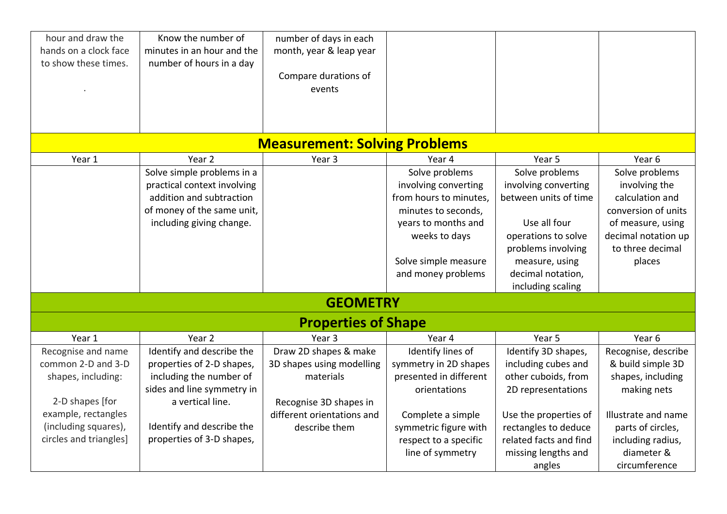| hour and draw the<br>hands on a clock face<br>to show these times. | Know the number of<br>minutes in an hour and the<br>number of hours in a day | number of days in each<br>month, year & leap year<br>Compare durations of<br>events |                                                |                                               |                                  |
|--------------------------------------------------------------------|------------------------------------------------------------------------------|-------------------------------------------------------------------------------------|------------------------------------------------|-----------------------------------------------|----------------------------------|
|                                                                    |                                                                              |                                                                                     |                                                |                                               |                                  |
|                                                                    |                                                                              | <b>Measurement: Solving Problems</b>                                                |                                                |                                               |                                  |
| Year 1                                                             | Year 2                                                                       | Year <sub>3</sub>                                                                   | Year 4                                         | Year 5                                        | Year 6                           |
|                                                                    | Solve simple problems in a                                                   |                                                                                     | Solve problems                                 | Solve problems                                | Solve problems                   |
|                                                                    | practical context involving<br>addition and subtraction                      |                                                                                     | involving converting<br>from hours to minutes, | involving converting<br>between units of time | involving the<br>calculation and |
|                                                                    | of money of the same unit,                                                   |                                                                                     | minutes to seconds,                            |                                               | conversion of units              |
|                                                                    | including giving change.                                                     |                                                                                     | years to months and                            | Use all four                                  | of measure, using                |
|                                                                    |                                                                              |                                                                                     | weeks to days                                  | operations to solve                           | decimal notation up              |
|                                                                    |                                                                              |                                                                                     |                                                | problems involving                            | to three decimal                 |
|                                                                    |                                                                              |                                                                                     | Solve simple measure                           | measure, using                                | places                           |
|                                                                    |                                                                              |                                                                                     | and money problems                             | decimal notation,                             |                                  |
|                                                                    |                                                                              |                                                                                     |                                                | including scaling                             |                                  |
|                                                                    |                                                                              | <b>GEOMETRY</b>                                                                     |                                                |                                               |                                  |
|                                                                    |                                                                              | <b>Properties of Shape</b>                                                          |                                                |                                               |                                  |
| Year 1                                                             | Year 2                                                                       | Year <sub>3</sub>                                                                   | Year 4                                         | Year 5                                        | Year 6                           |
| Recognise and name                                                 | Identify and describe the                                                    | Draw 2D shapes & make                                                               | Identify lines of                              | Identify 3D shapes,                           | Recognise, describe              |
| common 2-D and 3-D                                                 | properties of 2-D shapes,                                                    | 3D shapes using modelling                                                           | symmetry in 2D shapes                          | including cubes and                           | & build simple 3D                |
| shapes, including:                                                 | including the number of                                                      | materials                                                                           | presented in different                         | other cuboids, from                           | shapes, including                |
|                                                                    | sides and line symmetry in                                                   |                                                                                     | orientations                                   | 2D representations                            | making nets                      |
| 2-D shapes [for                                                    | a vertical line.                                                             | Recognise 3D shapes in                                                              |                                                |                                               |                                  |
| example, rectangles                                                |                                                                              | different orientations and                                                          | Complete a simple                              | Use the properties of                         | Illustrate and name              |
| (including squares),                                               | Identify and describe the                                                    | describe them                                                                       | symmetric figure with                          | rectangles to deduce                          | parts of circles,                |
| circles and triangles]                                             | properties of 3-D shapes,                                                    |                                                                                     | respect to a specific                          | related facts and find                        | including radius,                |
|                                                                    |                                                                              |                                                                                     | line of symmetry                               | missing lengths and                           | diameter &                       |
|                                                                    |                                                                              |                                                                                     |                                                | angles                                        | circumference                    |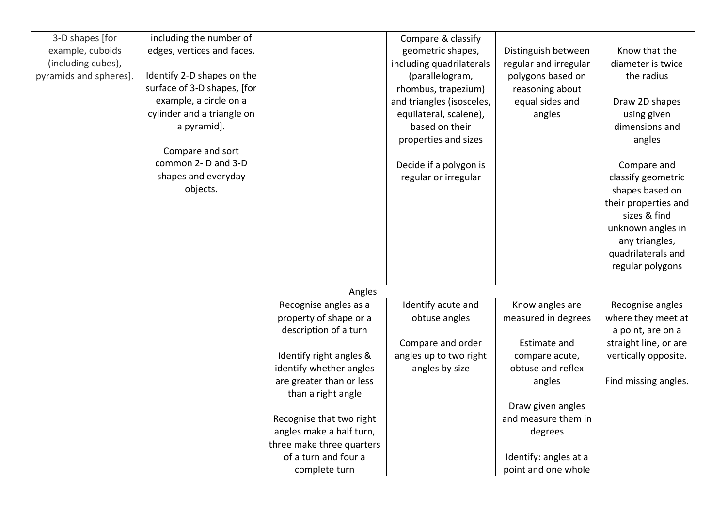| 3-D shapes [for        | including the number of     |                           | Compare & classify        |                       |                       |
|------------------------|-----------------------------|---------------------------|---------------------------|-----------------------|-----------------------|
| example, cuboids       | edges, vertices and faces.  |                           | geometric shapes,         | Distinguish between   | Know that the         |
| (including cubes),     |                             |                           | including quadrilaterals  | regular and irregular | diameter is twice     |
| pyramids and spheres]. | Identify 2-D shapes on the  |                           | (parallelogram,           | polygons based on     | the radius            |
|                        | surface of 3-D shapes, [for |                           | rhombus, trapezium)       | reasoning about       |                       |
|                        | example, a circle on a      |                           | and triangles (isosceles, | equal sides and       | Draw 2D shapes        |
|                        | cylinder and a triangle on  |                           | equilateral, scalene),    | angles                | using given           |
|                        | a pyramid].                 |                           | based on their            |                       | dimensions and        |
|                        |                             |                           | properties and sizes      |                       | angles                |
|                        | Compare and sort            |                           |                           |                       |                       |
|                        | common 2- D and 3-D         |                           | Decide if a polygon is    |                       | Compare and           |
|                        | shapes and everyday         |                           | regular or irregular      |                       | classify geometric    |
|                        | objects.                    |                           |                           |                       | shapes based on       |
|                        |                             |                           |                           |                       | their properties and  |
|                        |                             |                           |                           |                       | sizes & find          |
|                        |                             |                           |                           |                       | unknown angles in     |
|                        |                             |                           |                           |                       | any triangles,        |
|                        |                             |                           |                           |                       | quadrilaterals and    |
|                        |                             |                           |                           |                       | regular polygons      |
|                        |                             |                           |                           |                       |                       |
|                        |                             | Angles                    |                           |                       |                       |
|                        |                             | Recognise angles as a     | Identify acute and        | Know angles are       | Recognise angles      |
|                        |                             | property of shape or a    | obtuse angles             | measured in degrees   | where they meet at    |
|                        |                             | description of a turn     |                           |                       | a point, are on a     |
|                        |                             |                           | Compare and order         | Estimate and          | straight line, or are |
|                        |                             | Identify right angles &   | angles up to two right    | compare acute,        | vertically opposite.  |
|                        |                             | identify whether angles   | angles by size            | obtuse and reflex     |                       |
|                        |                             | are greater than or less  |                           | angles                | Find missing angles.  |
|                        |                             | than a right angle        |                           |                       |                       |
|                        |                             |                           |                           | Draw given angles     |                       |
|                        |                             | Recognise that two right  |                           | and measure them in   |                       |
|                        |                             | angles make a half turn,  |                           | degrees               |                       |
|                        |                             | three make three quarters |                           |                       |                       |
|                        |                             | of a turn and four a      |                           | Identify: angles at a |                       |
|                        |                             | complete turn             |                           | point and one whole   |                       |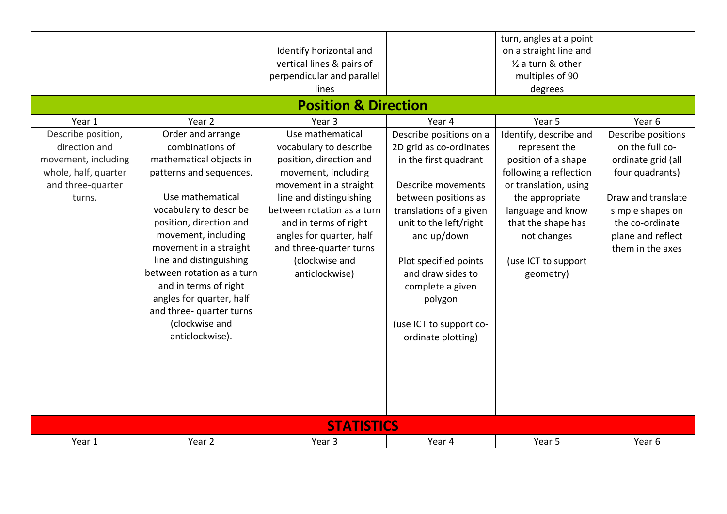|                                                                                                                   |                                                                                                                                                                                                                                                                                                                                                                                                     | Identify horizontal and<br>vertical lines & pairs of<br>perpendicular and parallel<br>lines<br><b>Position &amp; Direction</b>                                                                                                                                                                      |                                                                                                                                                                                                                                                                                                                             | turn, angles at a point<br>on a straight line and<br>1/2 a turn & other<br>multiples of 90<br>degrees                                                                                                                              |                                                                                                                                                                                      |
|-------------------------------------------------------------------------------------------------------------------|-----------------------------------------------------------------------------------------------------------------------------------------------------------------------------------------------------------------------------------------------------------------------------------------------------------------------------------------------------------------------------------------------------|-----------------------------------------------------------------------------------------------------------------------------------------------------------------------------------------------------------------------------------------------------------------------------------------------------|-----------------------------------------------------------------------------------------------------------------------------------------------------------------------------------------------------------------------------------------------------------------------------------------------------------------------------|------------------------------------------------------------------------------------------------------------------------------------------------------------------------------------------------------------------------------------|--------------------------------------------------------------------------------------------------------------------------------------------------------------------------------------|
| Year 1                                                                                                            | Year 2                                                                                                                                                                                                                                                                                                                                                                                              | Year <sub>3</sub>                                                                                                                                                                                                                                                                                   | Year 4                                                                                                                                                                                                                                                                                                                      | Year 5                                                                                                                                                                                                                             | Year <sub>6</sub>                                                                                                                                                                    |
| Describe position,<br>direction and<br>movement, including<br>whole, half, quarter<br>and three-quarter<br>turns. | Order and arrange<br>combinations of<br>mathematical objects in<br>patterns and sequences.<br>Use mathematical<br>vocabulary to describe<br>position, direction and<br>movement, including<br>movement in a straight<br>line and distinguishing<br>between rotation as a turn<br>and in terms of right<br>angles for quarter, half<br>and three- quarter turns<br>(clockwise and<br>anticlockwise). | Use mathematical<br>vocabulary to describe<br>position, direction and<br>movement, including<br>movement in a straight<br>line and distinguishing<br>between rotation as a turn<br>and in terms of right<br>angles for quarter, half<br>and three-quarter turns<br>(clockwise and<br>anticlockwise) | Describe positions on a<br>2D grid as co-ordinates<br>in the first quadrant<br>Describe movements<br>between positions as<br>translations of a given<br>unit to the left/right<br>and up/down<br>Plot specified points<br>and draw sides to<br>complete a given<br>polygon<br>(use ICT to support co-<br>ordinate plotting) | Identify, describe and<br>represent the<br>position of a shape<br>following a reflection<br>or translation, using<br>the appropriate<br>language and know<br>that the shape has<br>not changes<br>(use ICT to support<br>geometry) | Describe positions<br>on the full co-<br>ordinate grid (all<br>four quadrants)<br>Draw and translate<br>simple shapes on<br>the co-ordinate<br>plane and reflect<br>them in the axes |
|                                                                                                                   |                                                                                                                                                                                                                                                                                                                                                                                                     | <b>STATISTICS</b>                                                                                                                                                                                                                                                                                   |                                                                                                                                                                                                                                                                                                                             |                                                                                                                                                                                                                                    |                                                                                                                                                                                      |
| Year 1                                                                                                            | Year 2                                                                                                                                                                                                                                                                                                                                                                                              | Year 3                                                                                                                                                                                                                                                                                              | Year 4                                                                                                                                                                                                                                                                                                                      | Year 5                                                                                                                                                                                                                             | Year 6                                                                                                                                                                               |